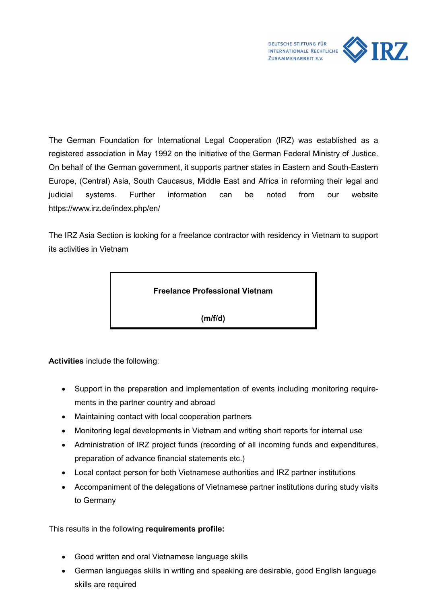

The German Foundation for International Legal Cooperation (IRZ) was established as a registered association in May 1992 on the initiative of the German Federal Ministry of Justice. On behalf of the German government, it supports partner states in Eastern and South-Eastern Europe, (Central) Asia, South Caucasus, Middle East and Africa in reforming their legal and judicial systems. Further information can be noted from our website https://www.irz.de/index.php/en/

The IRZ Asia Section is looking for a freelance contractor with residency in Vietnam to support its activities in Vietnam



(m/f/d)

Activities include the following:

- Support in the preparation and implementation of events including monitoring requirements in the partner country and abroad
- Maintaining contact with local cooperation partners
- Monitoring legal developments in Vietnam and writing short reports for internal use
- Administration of IRZ project funds (recording of all incoming funds and expenditures, preparation of advance financial statements etc.)
- Local contact person for both Vietnamese authorities and IRZ partner institutions
- Accompaniment of the delegations of Vietnamese partner institutions during study visits to Germany

This results in the following requirements profile:

- Good written and oral Vietnamese language skills
- German languages skills in writing and speaking are desirable, good English language skills are required